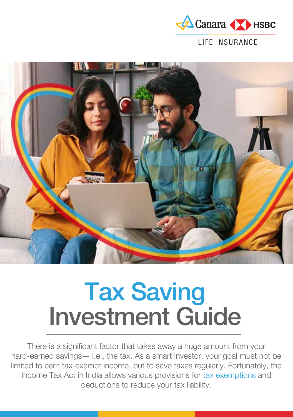

### LIFE INSURANCE



# Tax Saving Investment Guide

Income Tax Act in India allows various provisions for tax exemptions and There is a significant factor that takes away a huge amount from your hard-earned savings— i.e., the tax. As a smart investor, your goal must not be limited to earn tax-exempt income, but to save taxes regularly. Fortunately, the deductions to reduce your tax liability.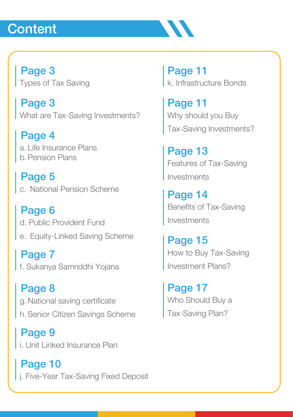## **Content**

Page 3 Types of Tax Saving

### Page 3

[What are Tax-Saving Investments?](#page-2-0)

### Page 4

[a. Life Insurance Plans](#page-3-0) b. Pension Plans

Page 5 [c. National Pension Scheme](#page-4-0)

### Page 11

k. Infrastructure Bonds

## Page 11

Why should you Buy [Tax-Saving Investments?](#page-10-0)

## Page 13

[Features of Tax-Saving](#page-12-0)

Investments

Page 14

[Benefits of Tax-Saving](#page-13-0) Investments

Page 15 [How to Buy Tax-Saving](#page-14-0) Investment Plans?

Page 6

d. Public Provident Fund

[e. Equity-Linked Saving Scheme](#page-5-0) 

Page 8 g. National saving certificate [h. Senior Citizen Savings Scheme](#page-7-0)

Page 17 [Who Should Buy a](#page-16-0) Tax-Saving Plan?

Page 7 [f. Sukanya Samriddhi Yojana](#page-6-0)

Page 9 [i. Unit Linked Insurance Plan](#page-8-0)

Page 10 [j. Five-Year Tax-Saving Fixed Deposit](#page-9-0)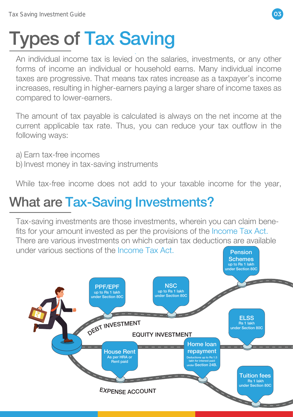## What are Tax-Saving Investments?

An individual income tax is levied on the salaries, investments, or any other forms of income an individual or household earns. Many individual income taxes are progressive. That means tax rates increase as a taxpayer's income increases, resulting in higher-earners paying a larger share of income taxes as compared to lower-earners.

The amount of tax payable is calculated is always on the net income at the current applicable tax rate. Thus, you can reduce your tax outflow in the following ways:

a) Earn tax-free incomes b) Invest money in tax-saving instruments

While tax-free income does not add to your taxable income for the year,

# <span id="page-2-0"></span>Types of Tax Saving

under various sections of the Income Tax Act. fits for your amount invested as per the provisions of the Income Tax Act. Tax-saving investments are those investments, wherein you can claim bene-There are various investments on which certain tax deductions are available Pension







**Schemes**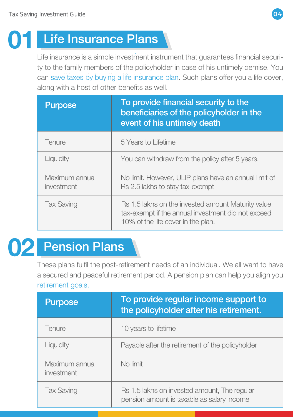

### <span id="page-3-0"></span>07 Life Insurance Plans

Life insurance is a simple investment instrument that guarantees financial securican save taxes by buying a life insurance plan. Such plans offer you a life cover, ty to the family members of the policyholder in case of his untimely demise. You along with a host of other benefits as well.

retirement goals. These plans fulfil the post-retirement needs of an individual. We all want to have a secured and peaceful retirement period. A pension plan can help you align you

| Purpose                      | To provide financial security to the<br>beneficiaries of the policyholder in the<br>event of his untimely death |
|------------------------------|-----------------------------------------------------------------------------------------------------------------|
| Tenure                       | 5 Years to Lifetime                                                                                             |
| Liquidity                    | You can withdraw from the policy after 5 years.                                                                 |
| Maximum annual<br>investment | No limit. However, ULIP plans have an annual limit of<br>Rs 2.5 lakhs to stay tax-exempt                        |

Rs 1.5 lakhs on the invested amount Maturity value tax-exempt if the annual investment did not exceed 10% of the life cover in the plan.

Tax Saving



| Purpose                      | To provide regular income support to<br>the policyholder after his retirement.             |
|------------------------------|--------------------------------------------------------------------------------------------|
| Tenure                       | 10 years to lifetime                                                                       |
| Liquidity                    | Payable after the retirement of the policyholder                                           |
| Maximum annual<br>investment | No limit                                                                                   |
| <b>Tax Saving</b>            | Rs 1.5 lakhs on invested amount, The regular<br>pension amount is taxable as salary income |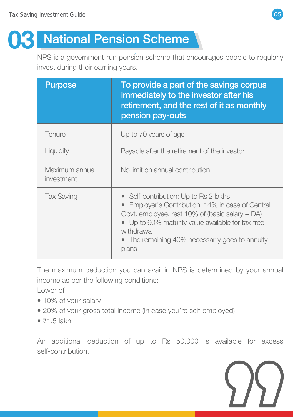

NPS is a government-run pension scheme that encourages people to regularly invest during their earning years.

#### <span id="page-4-0"></span>03 National Pension Scheme

| <b>Purpose</b>               | To provide a part of the savings corpus<br>immediately to the investor after his<br>retirement, and the rest of it as monthly<br>pension pay-outs                                                                                                                            |
|------------------------------|------------------------------------------------------------------------------------------------------------------------------------------------------------------------------------------------------------------------------------------------------------------------------|
| <b>Tenure</b>                | Up to 70 years of age                                                                                                                                                                                                                                                        |
| Liquidity                    | Payable after the retirement of the investor                                                                                                                                                                                                                                 |
| Maximum annual<br>investment | No limit on annual contribution                                                                                                                                                                                                                                              |
| <b>Tax Saving</b>            | • Self-contribution: Up to Rs 2 lakhs<br>• Employer's Contribution: 14% in case of Central<br>Govt. employee, rest 10% of (basic salary + DA)<br>• Up to 60% maturity value available for tax-free<br>withdrawal<br>• The remaining 40% necessarily goes to annuity<br>plans |

- 10% of your salary
- 20% of your gross total income (in case you're self-employed)

The maximum deduction you can avail in NPS is determined by your annual income as per the following conditions:

Lower of

• ₹1.5 lakh

An additional deduction of up to Rs 50,000 is available for excess self-contribution.

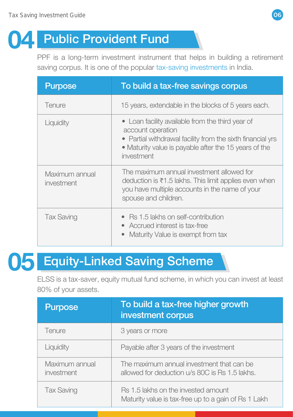

ELSS is a tax-saver, equity mutual fund scheme, in which you can invest at least 80% of your assets.

#### 05 Equity-Linked Saving Scheme

| <b>Purpose</b>               | To build a tax-free higher growth<br>investment corpus                                      |
|------------------------------|---------------------------------------------------------------------------------------------|
| <b>Tenure</b>                | 3 years or more                                                                             |
| Liquidity                    | Payable after 3 years of the investment                                                     |
| Maximum annual<br>investment | The maximum annual investment that can be<br>allowed for deduction u/s 80C is Rs 1.5 lakhs. |
| <b>Tax Saving</b>            | Rs 1.5 lakhs on the invested amount<br>Maturity value is tax-free up to a gain of Rs 1 Lakh |

#### <span id="page-5-0"></span>**U4** Public Provident Fund

saving corpus. It is one of the popular tax-saving investments in India. PPF is a long-term investment instrument that helps in building a retirement

| <b>Tax Saving</b> | • Rs 1.5 lakhs on self-contribution<br>• Accrued interest is tax-free |
|-------------------|-----------------------------------------------------------------------|
|                   | • Maturity Value is exempt from tax                                   |

| <b>Purpose</b>               | To build a tax-free savings corpus                                                                                                                                                                         |
|------------------------------|------------------------------------------------------------------------------------------------------------------------------------------------------------------------------------------------------------|
| Tenure                       | 15 years, extendable in the blocks of 5 years each.                                                                                                                                                        |
| Liquidity                    | • Loan facility available from the third year of<br>account operation<br>• Partial withdrawal facility from the sixth financial yrs<br>• Maturity value is payable after the 15 years of the<br>investment |
| Maximum annual<br>investment | The maximum annual investment allowed for<br>deduction is ₹1.5 lakhs. This limit applies even when<br>you have multiple accounts in the name of your<br>spouse and children.                               |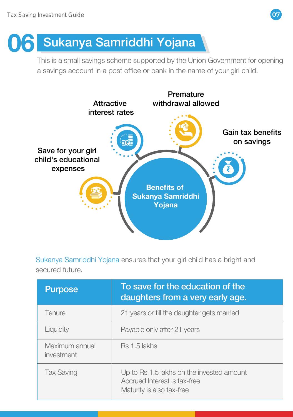



### <span id="page-6-0"></span>061 Sukanya Samriddhi Yojana

Sukanya Samriddhi Yojana ensures that your girl child has a bright and secured future.

This is a small savings scheme supported by the Union Government for opening a savings account in a post office or bank in the name of your girl child.

| <b>Purpose</b>               | To save for the education of the<br>daughters from a very early age.                                   |
|------------------------------|--------------------------------------------------------------------------------------------------------|
| <b>Tenure</b>                | 21 years or till the daughter gets married                                                             |
| Liquidity                    | Payable only after 21 years                                                                            |
| Maximum annual<br>investment | Rs 1.5 lakhs                                                                                           |
| <b>Tax Saving</b>            | Up to Rs 1.5 lakhs on the invested amount<br>Accrued Interest is tax-free<br>Maturity is also tax-free |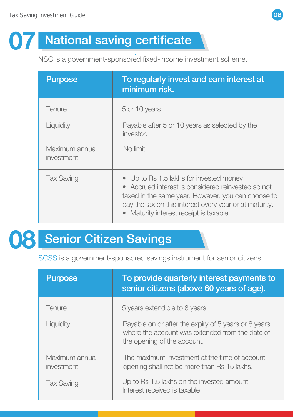

#### <span id="page-7-0"></span> $\mathbf{O}$ National saving certificate

NSC is a government-sponsored fixed-income investment scheme.

| <b>Purpose</b>               | To regularly invest and earn interest at<br>minimum risk.                                                                                           |
|------------------------------|-----------------------------------------------------------------------------------------------------------------------------------------------------|
| Tenure                       | 5 or 10 years                                                                                                                                       |
| Liquidity                    | Payable after 5 or 10 years as selected by the<br>investor.                                                                                         |
| Maximum annual<br>investment | No limit                                                                                                                                            |
| <b>Tax Saving</b>            | • Up to Rs 1.5 lakhs for invested money<br>• Accrued interest is considered reinvested so not<br>taxed in the same year. However, you can choose to |

pay the tax on this interest every year or at maturity.

• Maturity interest receipt is taxable

#### 08 Senior Citizen Savings

SCSS is a government-sponsored savings instrument for senior citizens.

| Purpose                      | To provide quarterly interest payments to<br>senior citizens (above 60 years of age).                                                  |
|------------------------------|----------------------------------------------------------------------------------------------------------------------------------------|
| <b>Tenure</b>                | 5 years extendible to 8 years                                                                                                          |
| Liquidity                    | Payable on or after the expiry of 5 years or 8 years<br>where the account was extended from the date of<br>the opening of the account. |
| Maximum annual<br>investment | The maximum investment at the time of account<br>opening shall not be more than Rs 15 lakhs.                                           |
| <b>Tax Saving</b>            | Up to Rs 1.5 lakhs on the invested amount<br>Interest received is taxable                                                              |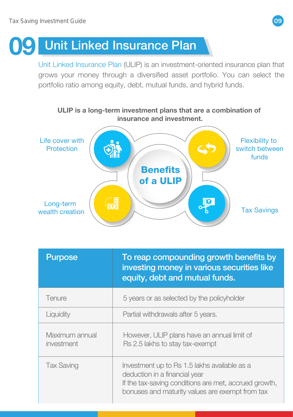

Unit Linked Insurance Plan (ULIP) is an investment-oriented insurance plan that grows your money through a diversified asset portfolio. You can select the portfolio ratio among equity, debt, mutual funds, and hybrid funds.

#### <span id="page-8-0"></span>**U9** Unit Linked Insurance Plan

| <b>Purpose</b>               | To reap compounding growth benefits by<br>investing money in various securities like<br>equity, debt and mutual funds.                                                                    |
|------------------------------|-------------------------------------------------------------------------------------------------------------------------------------------------------------------------------------------|
| <b>Tenure</b>                | 5 years or as selected by the policyholder                                                                                                                                                |
| Liquidity                    | Partial withdrawals after 5 years.                                                                                                                                                        |
| Maximum annual<br>investment | However, ULIP plans have an annual limit of<br>Rs 2.5 lakhs to stay tax-exempt                                                                                                            |
| <b>Tax Saving</b>            | Investment up to Rs 1.5 lakhs available as a<br>deduction in a financial year<br>If the tax-saving conditions are met, accrued growth,<br>bonuses and maturity values are exempt from tax |





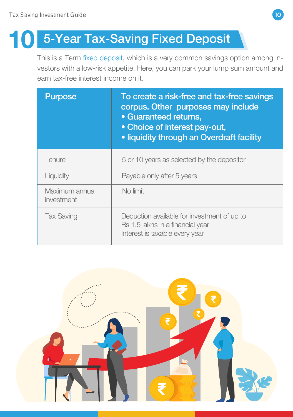This is a Term fixed deposit, which is a very common savings option among investors with a low-risk appetite. Here, you can park your lump sum amount and earn tax-free interest income on it.



## <span id="page-9-0"></span>10 5-Year Tax-Saving Fixed Deposit

| <b>Purpose</b>               | To create a risk-free and tax-free savings<br>corpus. Other purposes may include<br>· Guaranteed returns,<br>. Choice of interest pay-out,<br>. liquidity through an Overdraft facility |
|------------------------------|-----------------------------------------------------------------------------------------------------------------------------------------------------------------------------------------|
| <b>Tenure</b>                | 5 or 10 years as selected by the depositor                                                                                                                                              |
| Liquidity                    | Payable only after 5 years                                                                                                                                                              |
| Maximum annual<br>investment | No limit                                                                                                                                                                                |
| <b>Tax Saving</b>            | Deduction available for investment of up to<br>Rs 1.5 lakhs in a financial year<br>Interest is taxable every year                                                                       |

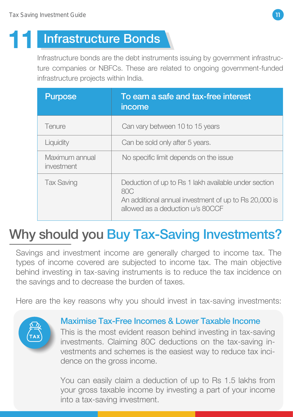Savings and investment income are generally charged to income tax. The types of income covered are subjected to income tax. The main objective behind investing in tax-saving instruments is to reduce the tax incidence on the savings and to decrease the burden of taxes.

Here are the key reasons why you should invest in tax-saving investments:



An additional annual investment of up to TPS 20,000 is allowed as a deduction u/s 80CCF

## Why should you Buy Tax-Saving Investments?

Infrastructure bonds are the debt instruments issuing by government infrastructure companies or NBFCs. These are related to ongoing government-funded infrastructure projects within India.



## <span id="page-10-0"></span>11 Infrastructure Bonds

| <b>Purpose</b>               | To earn a safe and tax-free interest<br>income                                                                              |
|------------------------------|-----------------------------------------------------------------------------------------------------------------------------|
| Tenure                       | Can vary between 10 to 15 years                                                                                             |
| Liquidity                    | Can be sold only after 5 years.                                                                                             |
| Maximum annual<br>investment | No specific limit depends on the issue                                                                                      |
| <b>Tax Saving</b>            | Deduction of up to Rs 1 lakh available under section<br><b>80C</b><br>An additional annual investment of un to Rs 20 000 is |

### Maximise Tax-Free Incomes & Lower Taxable Income

This is the most evident reason behind investing in tax-saving investments. Claiming 80C deductions on the tax-saving investments and schemes is the easiest way to reduce tax incidence on the gross income.

You can easily claim a deduction of up to Rs 1.5 lakhs from your gross taxable income by investing a part of your income into a tax-saving investment.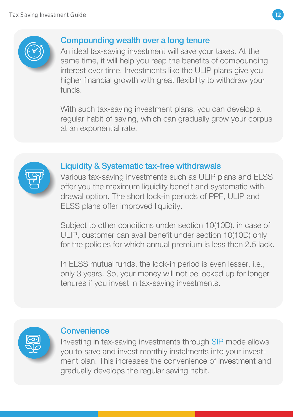Investing in tax-saving investments through SIP mode allows you to save and invest monthly instalments into your investment plan. This increases the convenience of investment and gradually develops the regular saving habit.

### Liquidity & Systematic tax-free withdrawals

Various tax-saving investments such as ULIP plans and ELSS offer you the maximum liquidity benefit and systematic withdrawal option. The short lock-in periods of PPF, ULIP and

ELSS plans offer improved liquidity.

Subject to other conditions under section 10(10D). in case of ULIP, customer can avail benefit under section 10(10D) only for the policies for which annual premium is less then 2.5 lack.

In ELSS mutual funds, the lock-in period is even lesser, i.e., only 3 years. So, your money will not be locked up for longer tenures if you invest in tax-saving investments.



### **Convenience**





### Compounding wealth over a long tenure

An ideal tax-saving investment will save your taxes. At the same time, it will help you reap the benefits of compounding interest over time. Investments like the ULIP plans give you higher financial growth with great flexibility to withdraw your funds.

With such tax-saving investment plans, you can develop a regular habit of saving, which can gradually grow your corpus at an exponential rate.

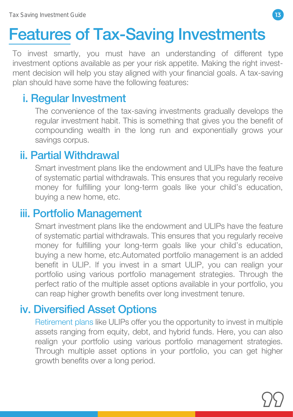

## <span id="page-12-0"></span>Features of Tax-Saving Investments

To invest smartly, you must have an understanding of different type investment options available as per your risk appetite. Making the right investment decision will help you stay aligned with your financial goals. A tax-saving plan should have some have the following features:

The convenience of the tax-saving investments gradually develops the regular investment habit. This is something that gives you the benefit of compounding wealth in the long run and exponentially grows your savings corpus.

## i. Regular Investment

Smart investment plans like the endowment and ULIPs have the feature of systematic partial withdrawals. This ensures that you regularly receive money for fulfilling your long-term goals like your child's education, buying a new home, etc.

## ii. Partial Withdrawal

Retirement plans like ULIPs offer you the opportunity to invest in multiple assets ranging from equity, debt, and hybrid funds. Here, you can also realign your portfolio using various portfolio management strategies. Through multiple asset options in your portfolio, you can get higher growth benefits over a long period.



Smart investment plans like the endowment and ULIPs have the feature of systematic partial withdrawals. This ensures that you regularly receive money for fulfilling your long-term goals like your child's education, buying a new home, etc.Automated portfolio management is an added benefit in ULIP. If you invest in a smart ULIP, you can realign your portfolio using various portfolio management strategies. Through the perfect ratio of the multiple asset options available in your portfolio, you can reap higher growth benefits over long investment tenure.

## iii. Portfolio Management

### iv. Diversified Asset Options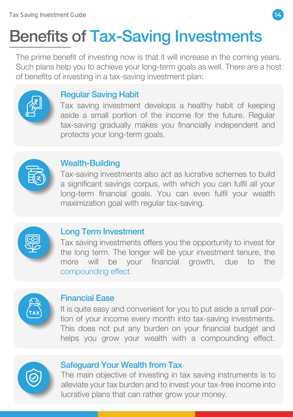

compounding effect. Tax saving investments offers you the opportunity to invest for the long term. The longer will be your investment tenure, the more will be your financial growth, due to the



The prime benefit of investing now is that it will increase in the coming years. Such plans help you to achieve your long-term goals as well. There are a host of benefits of investing in a tax-saving investment plan:



## <span id="page-13-0"></span>Benefits of Tax-Saving Investments

It is quite easy and convenient for you to put aside a small portion of your income every month into tax-saving investments. This does not put any burden on your financial budget and helps you grow your wealth with a compounding effect.



### Regular Saving Habit

Tax saving investment develops a healthy habit of keeping aside a small portion of the income for the future. Regular tax-saving gradually makes you financially independent and protects your long-term goals.



### Wealth-Building

Tax-saving investments also act as lucrative schemes to build a significant savings corpus, with which you can fulfil all your long-term financial goals. You can even fulfil your wealth



### Long Term Investment

### Financial Ease

### Safeguard Your Wealth from Tax

The main objective of investing in tax saving instruments is to alleviate your tax burden and to invest your tax-free income into lucrative plans that can rather grow your money.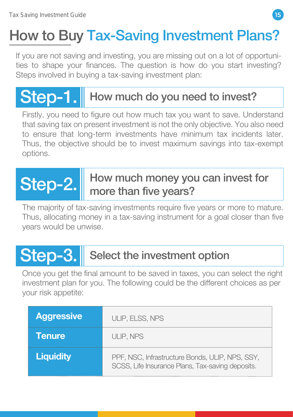If you are not saving and investing, you are missing out on a lot of opportunities to shape your finances. The question is how do you start investing? Steps involved in buying a tax-saving investment plan:



## <span id="page-14-0"></span>How to Buy Tax-Saving Investment Plans?

Firstly, you need to figure out how much tax you want to save. Understand that saving tax on present investment is not the only objective. You also need to ensure that long-term investments have minimum tax incidents later. Thus, the objective should be to invest maximum savings into tax-exempt options.

### Step-1. How much do you need to invest?

### Step-3. Select the investment option

The majority of tax-saving investments require five years or more to mature. Thus, allocating money in a tax-saving instrument for a goal closer than five years would be unwise.

### Step-2. How much money you can invest for more than five years?

Once you get the final amount to be saved in taxes, you can select the right investment plan for you. The following could be the different choices as per your risk appetite:

| <b>Aggressive</b> | ULIP, ELSS, NPS                                                                                     |
|-------------------|-----------------------------------------------------------------------------------------------------|
| <b>Tenure</b>     | ULIP, NPS                                                                                           |
| <b>Liquidity</b>  | PPF, NSC, Infrastructure Bonds, ULIP, NPS, SSY,<br>SCSS, Life Insurance Plans, Tax-saving deposits. |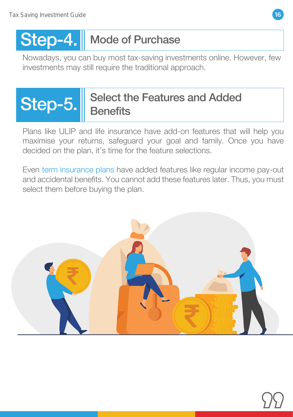

Nowadays, you can buy most tax-saving investments online. However, few investments may still require the traditional approach.

### Step-4. Mode of Purchase

Even term insurance plans have added features like regular income pay-out and accidental benefits. You cannot add these features later. Thus, you must select them before buying the plan.





Plans like ULIP and life insurance have add-on features that will help you maximise your returns, safeguard your goal and family. Once you have decided on the plan, it's time for the feature selections.

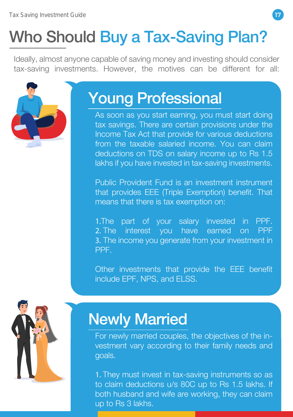

## <span id="page-16-0"></span>Who Should Buy a Tax-Saving Plan?

Ideally, almost anyone capable of saving money and investing should consider tax-saving investments. However, the motives can be different for all:



## Young Professional

As soon as you start earning, you must start doing tax savings. There are certain provisions under the Income Tax Act that provide for various deductions from the taxable salaried income. You can claim deductions on TDS on salary income up to Rs 1.5 lakhs if you have invested in tax-saving investments.

Public Provident Fund is an investment instrument that provides EEE (Triple Exemption) benefit. That means that there is tax exemption on:

1.The part of your salary invested in PPF. 2. The interest you have earned on PPF 3. The income you generate from your investment in PPF.

Other investments that provide the EEE benefit include EPF, NPS, and ELSS.

## Newly Married

For newly married couples, the objectives of the investment vary according to their family needs and goals.

1. They must invest in tax-saving instruments so as to claim deductions u/s 80C up to Rs 1.5 lakhs. If both husband and wife are working, they can claim

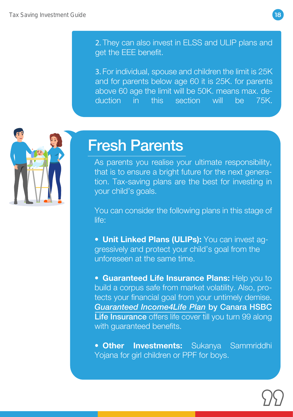## Fresh Parents

As parents you realise your ultimate responsibility, that is to ensure a bright future for the next generation. Tax-saving plans are the best for investing in your child's goals.



You can consider the following plans in this stage of life:

- Unit Linked Plans (ULIPs): You can invest aggressively and protect your child's goal from the unforeseen at the same time.
- Guaranteed Income4Life Plan by Canara HSBC • Guaranteed Life Insurance Plans: Help you to build a corpus safe from market volatility. Also, protects your financial goal from your untimely demise. Life Insurance offers life cover till you turn 99 along with guaranteed benefits.
- Other Investments: Sukanya Sammriddhi Yojana for girl children or PPF for boys.





2. They can also invest in ELSS and ULIP plans and get the EEE benefit.

3. For individual, spouse and children the limit is 25K and for parents below age 60 it is 25K. for parents above 60 age the limit will be 50K. means max. deduction in this section will be 75K.